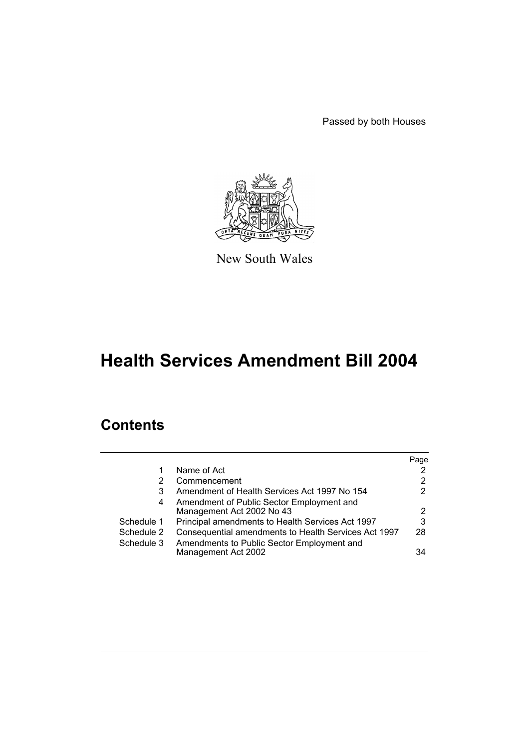Passed by both Houses



New South Wales

# **Health Services Amendment Bill 2004**

# **Contents**

|            |                                                      | Page                 |
|------------|------------------------------------------------------|----------------------|
|            | Name of Act                                          | $\mathbf{2}^{\circ}$ |
| 2          | Commencement                                         | $\overline{2}$       |
| 3          | Amendment of Health Services Act 1997 No 154         | 2                    |
| 4          | Amendment of Public Sector Employment and            |                      |
|            | Management Act 2002 No 43                            | $\overline{2}$       |
| Schedule 1 | Principal amendments to Health Services Act 1997     | 3                    |
| Schedule 2 | Consequential amendments to Health Services Act 1997 | 28                   |
| Schedule 3 | Amendments to Public Sector Employment and           |                      |
|            | Management Act 2002                                  | 34                   |
|            |                                                      |                      |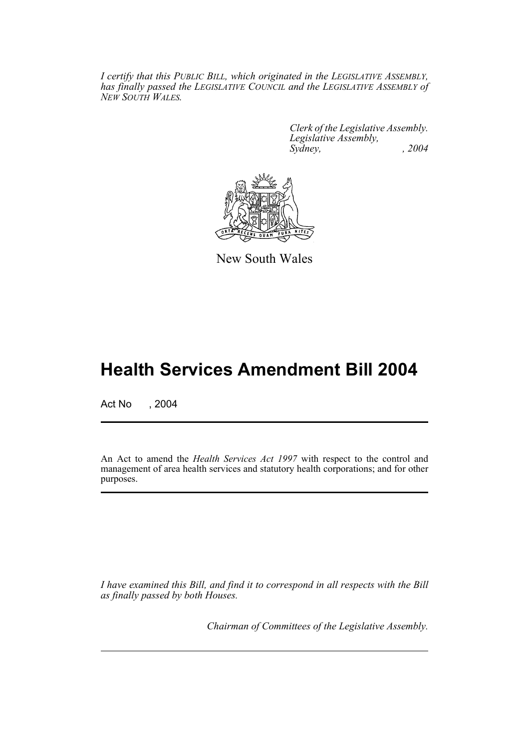*I certify that this PUBLIC BILL, which originated in the LEGISLATIVE ASSEMBLY, has finally passed the LEGISLATIVE COUNCIL and the LEGISLATIVE ASSEMBLY of NEW SOUTH WALES.*

> *Clerk of the Legislative Assembly. Legislative Assembly, Sydney, , 2004*



New South Wales

# **Health Services Amendment Bill 2004**

Act No , 2004

An Act to amend the *Health Services Act 1997* with respect to the control and management of area health services and statutory health corporations; and for other purposes.

*I have examined this Bill, and find it to correspond in all respects with the Bill as finally passed by both Houses.*

*Chairman of Committees of the Legislative Assembly.*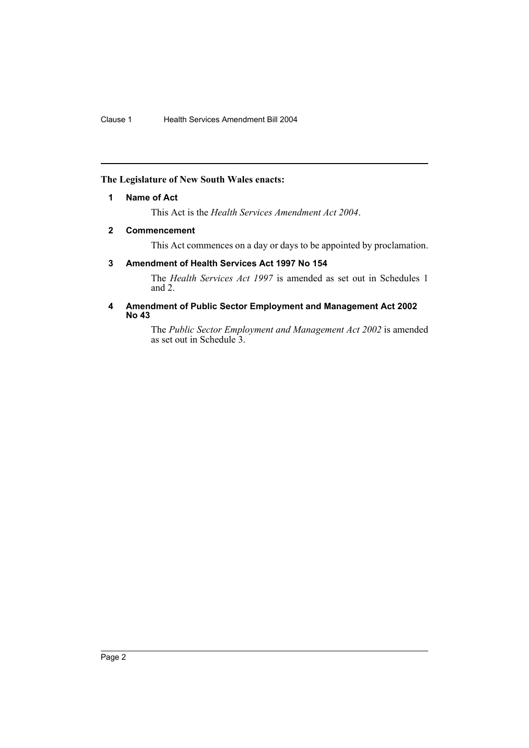## <span id="page-2-0"></span>**The Legislature of New South Wales enacts:**

#### **1 Name of Act**

This Act is the *Health Services Amendment Act 2004*.

## <span id="page-2-1"></span>**2 Commencement**

This Act commences on a day or days to be appointed by proclamation.

## <span id="page-2-2"></span>**3 Amendment of Health Services Act 1997 No 154**

The *Health Services Act 1997* is amended as set out in Schedules 1 and 2.

#### <span id="page-2-3"></span>**4 Amendment of Public Sector Employment and Management Act 2002 No 43**

The *Public Sector Employment and Management Act 2002* is amended as set out in Schedule 3.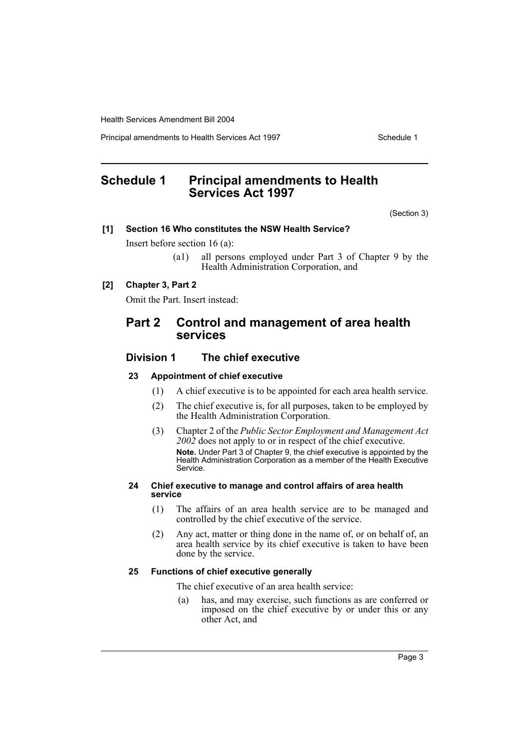Principal amendments to Health Services Act 1997 **Schedule 1** Schedule 1

# <span id="page-3-0"></span>**Schedule 1 Principal amendments to Health Services Act 1997**

(Section 3)

### **[1] Section 16 Who constitutes the NSW Health Service?**

Insert before section 16 (a):

(a1) all persons employed under Part 3 of Chapter 9 by the Health Administration Corporation, and

#### **[2] Chapter 3, Part 2**

Omit the Part. Insert instead:

## **Part 2 Control and management of area health services**

## **Division 1 The chief executive**

#### **23 Appointment of chief executive**

- (1) A chief executive is to be appointed for each area health service.
- (2) The chief executive is, for all purposes, taken to be employed by the Health Administration Corporation.
- (3) Chapter 2 of the *Public Sector Employment and Management Act 2002* does not apply to or in respect of the chief executive. **Note.** Under Part 3 of Chapter 9, the chief executive is appointed by the Health Administration Corporation as a member of the Health Executive Service.

#### **24 Chief executive to manage and control affairs of area health service**

- (1) The affairs of an area health service are to be managed and controlled by the chief executive of the service.
- (2) Any act, matter or thing done in the name of, or on behalf of, an area health service by its chief executive is taken to have been done by the service.

#### **25 Functions of chief executive generally**

The chief executive of an area health service:

(a) has, and may exercise, such functions as are conferred or imposed on the chief executive by or under this or any other Act, and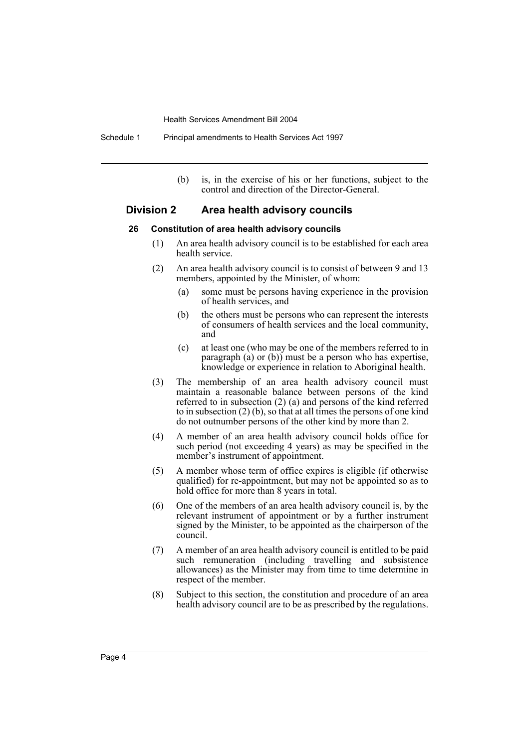(b) is, in the exercise of his or her functions, subject to the control and direction of the Director-General.

## **Division 2 Area health advisory councils**

#### **26 Constitution of area health advisory councils**

- (1) An area health advisory council is to be established for each area health service.
- (2) An area health advisory council is to consist of between 9 and 13 members, appointed by the Minister, of whom:
	- (a) some must be persons having experience in the provision of health services, and
	- (b) the others must be persons who can represent the interests of consumers of health services and the local community, and
	- (c) at least one (who may be one of the members referred to in paragraph (a) or (b)) must be a person who has expertise, knowledge or experience in relation to Aboriginal health.
- (3) The membership of an area health advisory council must maintain a reasonable balance between persons of the kind referred to in subsection (2) (a) and persons of the kind referred to in subsection (2) (b), so that at all times the persons of one kind do not outnumber persons of the other kind by more than 2.
- (4) A member of an area health advisory council holds office for such period (not exceeding 4 years) as may be specified in the member's instrument of appointment.
- (5) A member whose term of office expires is eligible (if otherwise qualified) for re-appointment, but may not be appointed so as to hold office for more than 8 years in total.
- (6) One of the members of an area health advisory council is, by the relevant instrument of appointment or by a further instrument signed by the Minister, to be appointed as the chairperson of the council.
- (7) A member of an area health advisory council is entitled to be paid such remuneration (including travelling and subsistence allowances) as the Minister may from time to time determine in respect of the member.
- (8) Subject to this section, the constitution and procedure of an area health advisory council are to be as prescribed by the regulations.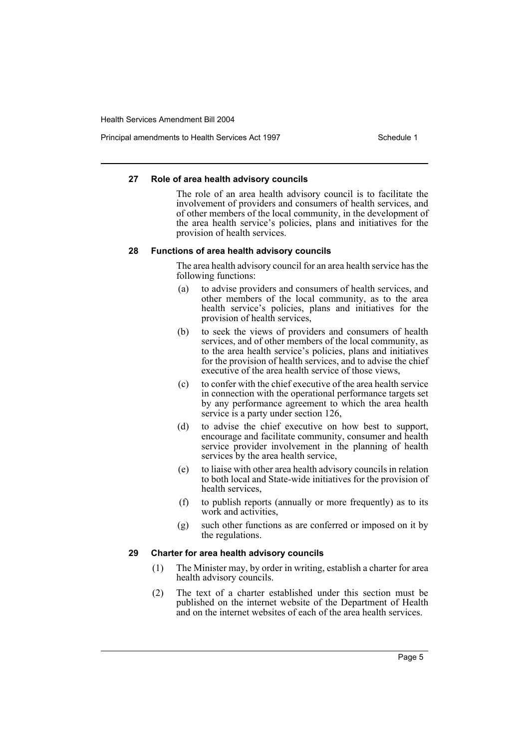Principal amendments to Health Services Act 1997 **Schedule 1** Schedule 1

#### **27 Role of area health advisory councils**

The role of an area health advisory council is to facilitate the involvement of providers and consumers of health services, and of other members of the local community, in the development of the area health service's policies, plans and initiatives for the provision of health services.

#### **28 Functions of area health advisory councils**

The area health advisory council for an area health service has the following functions:

- (a) to advise providers and consumers of health services, and other members of the local community, as to the area health service's policies, plans and initiatives for the provision of health services,
- (b) to seek the views of providers and consumers of health services, and of other members of the local community, as to the area health service's policies, plans and initiatives for the provision of health services, and to advise the chief executive of the area health service of those views,
- (c) to confer with the chief executive of the area health service in connection with the operational performance targets set by any performance agreement to which the area health service is a party under section 126,
- (d) to advise the chief executive on how best to support, encourage and facilitate community, consumer and health service provider involvement in the planning of health services by the area health service,
- (e) to liaise with other area health advisory councils in relation to both local and State-wide initiatives for the provision of health services,
- (f) to publish reports (annually or more frequently) as to its work and activities.
- (g) such other functions as are conferred or imposed on it by the regulations.

## **29 Charter for area health advisory councils**

- (1) The Minister may, by order in writing, establish a charter for area health advisory councils.
- (2) The text of a charter established under this section must be published on the internet website of the Department of Health and on the internet websites of each of the area health services.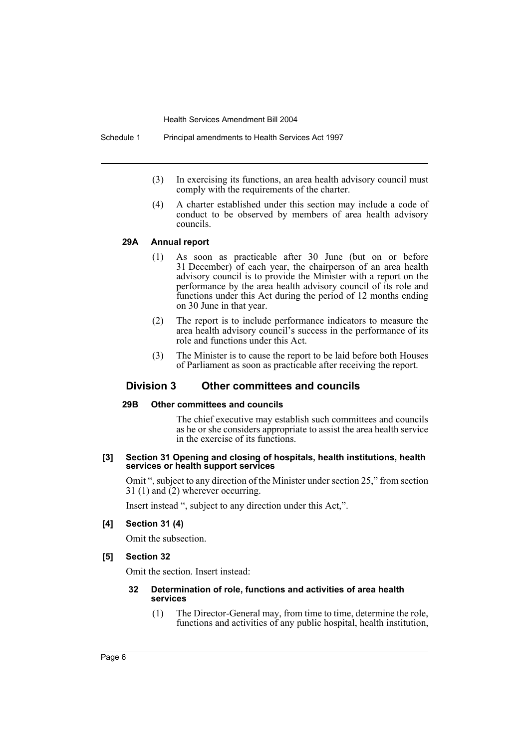Schedule 1 Principal amendments to Health Services Act 1997

- (3) In exercising its functions, an area health advisory council must comply with the requirements of the charter.
- (4) A charter established under this section may include a code of conduct to be observed by members of area health advisory councils.

#### **29A Annual report**

- (1) As soon as practicable after 30 June (but on or before 31 December) of each year, the chairperson of an area health advisory council is to provide the Minister with a report on the performance by the area health advisory council of its role and functions under this Act during the period of 12 months ending on 30 June in that year.
- (2) The report is to include performance indicators to measure the area health advisory council's success in the performance of its role and functions under this Act.
- (3) The Minister is to cause the report to be laid before both Houses of Parliament as soon as practicable after receiving the report.

## **Division 3 Other committees and councils**

#### **29B Other committees and councils**

The chief executive may establish such committees and councils as he or she considers appropriate to assist the area health service in the exercise of its functions.

#### **[3] Section 31 Opening and closing of hospitals, health institutions, health services or health support services**

Omit ", subject to any direction of the Minister under section 25," from section 31 (1) and (2) wherever occurring.

Insert instead ", subject to any direction under this Act,".

#### **[4] Section 31 (4)**

Omit the subsection.

#### **[5] Section 32**

Omit the section. Insert instead:

#### **32 Determination of role, functions and activities of area health services**

(1) The Director-General may, from time to time, determine the role, functions and activities of any public hospital, health institution,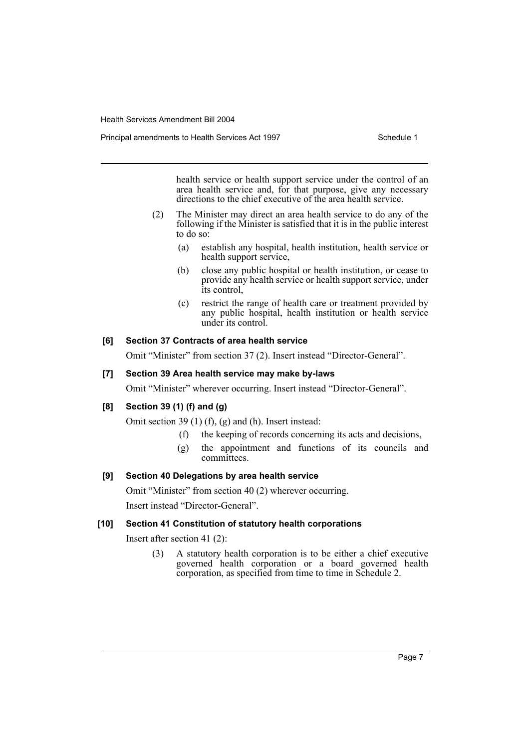Principal amendments to Health Services Act 1997 **Schedule 1** Schedule 1

health service or health support service under the control of an area health service and, for that purpose, give any necessary directions to the chief executive of the area health service.

- (2) The Minister may direct an area health service to do any of the following if the Minister is satisfied that it is in the public interest to do so:
	- (a) establish any hospital, health institution, health service or health support service,
	- (b) close any public hospital or health institution, or cease to provide any health service or health support service, under its control,
	- (c) restrict the range of health care or treatment provided by any public hospital, health institution or health service under its control.

#### **[6] Section 37 Contracts of area health service**

Omit "Minister" from section 37 (2). Insert instead "Director-General".

#### **[7] Section 39 Area health service may make by-laws**

Omit "Minister" wherever occurring. Insert instead "Director-General".

## **[8] Section 39 (1) (f) and (g)**

Omit section 39 (1) (f), (g) and (h). Insert instead:

- (f) the keeping of records concerning its acts and decisions,
- (g) the appointment and functions of its councils and committees.

## **[9] Section 40 Delegations by area health service**

Omit "Minister" from section 40 (2) wherever occurring.

Insert instead "Director-General".

#### **[10] Section 41 Constitution of statutory health corporations**

Insert after section 41 (2):

(3) A statutory health corporation is to be either a chief executive governed health corporation or a board governed health corporation, as specified from time to time in Schedule 2.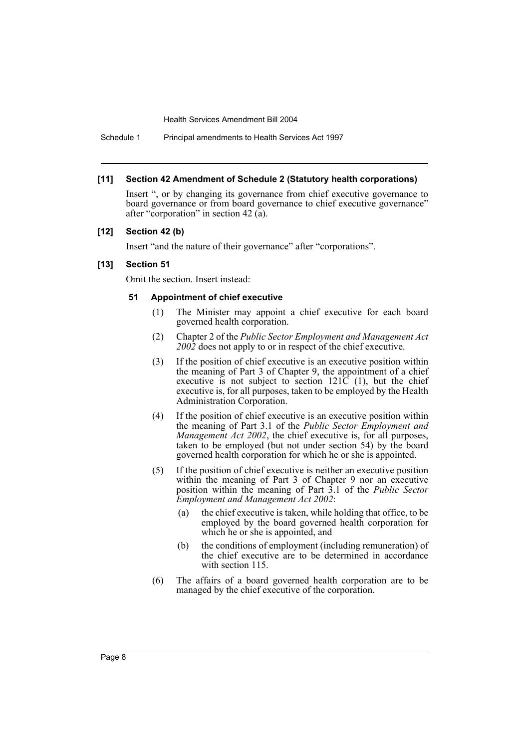Schedule 1 Principal amendments to Health Services Act 1997

#### **[11] Section 42 Amendment of Schedule 2 (Statutory health corporations)**

Insert ", or by changing its governance from chief executive governance to board governance or from board governance to chief executive governance" after "corporation" in section 42 (a).

#### **[12] Section 42 (b)**

Insert "and the nature of their governance" after "corporations".

#### **[13] Section 51**

Omit the section. Insert instead:

#### **51 Appointment of chief executive**

- (1) The Minister may appoint a chief executive for each board governed health corporation.
- (2) Chapter 2 of the *Public Sector Employment and Management Act 2002* does not apply to or in respect of the chief executive.
- (3) If the position of chief executive is an executive position within the meaning of Part 3 of Chapter 9, the appointment of a chief executive is not subject to section  $121\overline{C}$  (1), but the chief executive is, for all purposes, taken to be employed by the Health Administration Corporation.
- (4) If the position of chief executive is an executive position within the meaning of Part 3.1 of the *Public Sector Employment and Management Act 2002*, the chief executive is, for all purposes, taken to be employed (but not under section 54) by the board governed health corporation for which he or she is appointed.
- (5) If the position of chief executive is neither an executive position within the meaning of Part 3 of Chapter 9 nor an executive position within the meaning of Part 3.1 of the *Public Sector Employment and Management Act 2002*:
	- (a) the chief executive is taken, while holding that office, to be employed by the board governed health corporation for which he or she is appointed, and
	- (b) the conditions of employment (including remuneration) of the chief executive are to be determined in accordance with section 115.
- (6) The affairs of a board governed health corporation are to be managed by the chief executive of the corporation.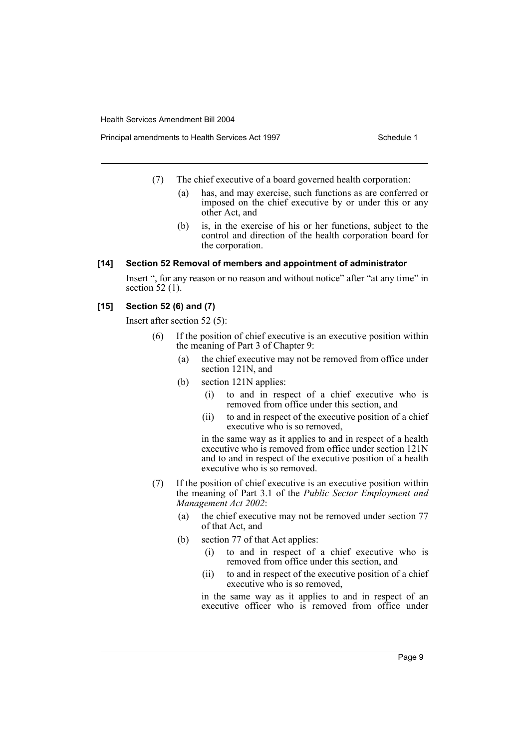Principal amendments to Health Services Act 1997 **Schedule 1** Schedule 1

- (7) The chief executive of a board governed health corporation:
	- (a) has, and may exercise, such functions as are conferred or imposed on the chief executive by or under this or any other Act, and
	- (b) is, in the exercise of his or her functions, subject to the control and direction of the health corporation board for the corporation.

#### **[14] Section 52 Removal of members and appointment of administrator**

Insert ", for any reason or no reason and without notice" after "at any time" in section 52 (1).

#### **[15] Section 52 (6) and (7)**

Insert after section 52 (5):

- (6) If the position of chief executive is an executive position within the meaning of Part 3 of Chapter 9:
	- (a) the chief executive may not be removed from office under section 121N, and
	- (b) section 121N applies:
		- (i) to and in respect of a chief executive who is removed from office under this section, and
		- (ii) to and in respect of the executive position of a chief executive who is so removed,

in the same way as it applies to and in respect of a health executive who is removed from office under section 121N and to and in respect of the executive position of a health executive who is so removed.

- (7) If the position of chief executive is an executive position within the meaning of Part 3.1 of the *Public Sector Employment and Management Act 2002*:
	- (a) the chief executive may not be removed under section 77 of that Act, and
	- (b) section 77 of that Act applies:
		- (i) to and in respect of a chief executive who is removed from office under this section, and
		- (ii) to and in respect of the executive position of a chief executive who is so removed,

in the same way as it applies to and in respect of an executive officer who is removed from office under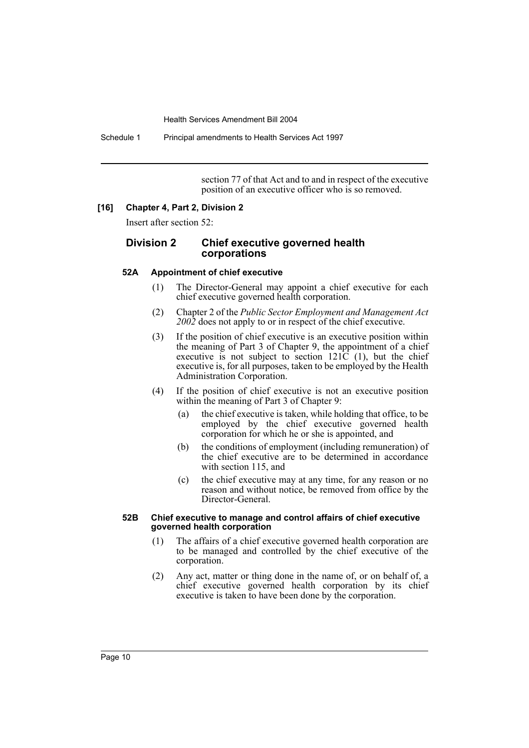Schedule 1 Principal amendments to Health Services Act 1997

section 77 of that Act and to and in respect of the executive position of an executive officer who is so removed.

#### **[16] Chapter 4, Part 2, Division 2**

Insert after section 52:

## **Division 2 Chief executive governed health corporations**

#### **52A Appointment of chief executive**

- (1) The Director-General may appoint a chief executive for each chief executive governed health corporation.
- (2) Chapter 2 of the *Public Sector Employment and Management Act 2002* does not apply to or in respect of the chief executive.
- (3) If the position of chief executive is an executive position within the meaning of Part 3 of Chapter 9, the appointment of a chief executive is not subject to section  $121\overline{C}$  (1), but the chief executive is, for all purposes, taken to be employed by the Health Administration Corporation.
- (4) If the position of chief executive is not an executive position within the meaning of Part 3 of Chapter 9:
	- (a) the chief executive is taken, while holding that office, to be employed by the chief executive governed health corporation for which he or she is appointed, and
	- (b) the conditions of employment (including remuneration) of the chief executive are to be determined in accordance with section 115, and
	- (c) the chief executive may at any time, for any reason or no reason and without notice, be removed from office by the Director-General.

#### **52B Chief executive to manage and control affairs of chief executive governed health corporation**

- (1) The affairs of a chief executive governed health corporation are to be managed and controlled by the chief executive of the corporation.
- (2) Any act, matter or thing done in the name of, or on behalf of, a chief executive governed health corporation by its chief executive is taken to have been done by the corporation.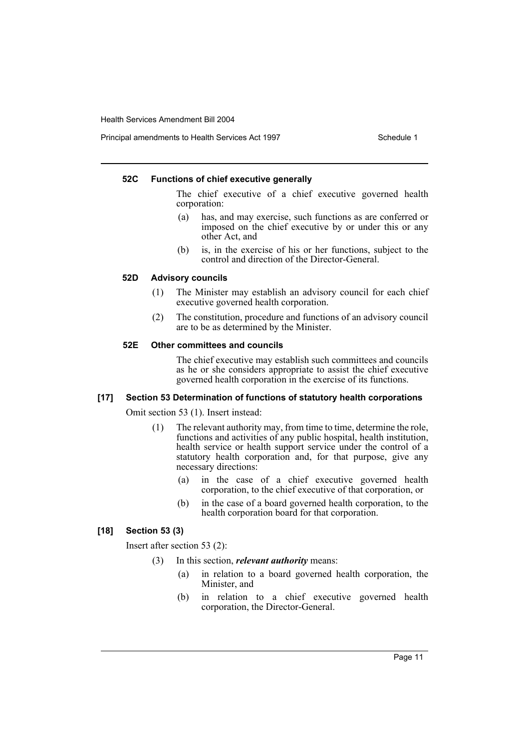Principal amendments to Health Services Act 1997 **Schedule 1** Schedule 1

#### **52C Functions of chief executive generally**

The chief executive of a chief executive governed health corporation:

- (a) has, and may exercise, such functions as are conferred or imposed on the chief executive by or under this or any other Act, and
- (b) is, in the exercise of his or her functions, subject to the control and direction of the Director-General.

## **52D Advisory councils**

- (1) The Minister may establish an advisory council for each chief executive governed health corporation.
- (2) The constitution, procedure and functions of an advisory council are to be as determined by the Minister.

#### **52E Other committees and councils**

The chief executive may establish such committees and councils as he or she considers appropriate to assist the chief executive governed health corporation in the exercise of its functions.

## **[17] Section 53 Determination of functions of statutory health corporations**

Omit section 53 (1). Insert instead:

- (1) The relevant authority may, from time to time, determine the role, functions and activities of any public hospital, health institution, health service or health support service under the control of a statutory health corporation and, for that purpose, give any necessary directions:
	- (a) in the case of a chief executive governed health corporation, to the chief executive of that corporation, or
	- (b) in the case of a board governed health corporation, to the health corporation board for that corporation.

## **[18] Section 53 (3)**

Insert after section 53 (2):

- (3) In this section, *relevant authority* means:
	- (a) in relation to a board governed health corporation, the Minister, and
	- (b) in relation to a chief executive governed health corporation, the Director-General.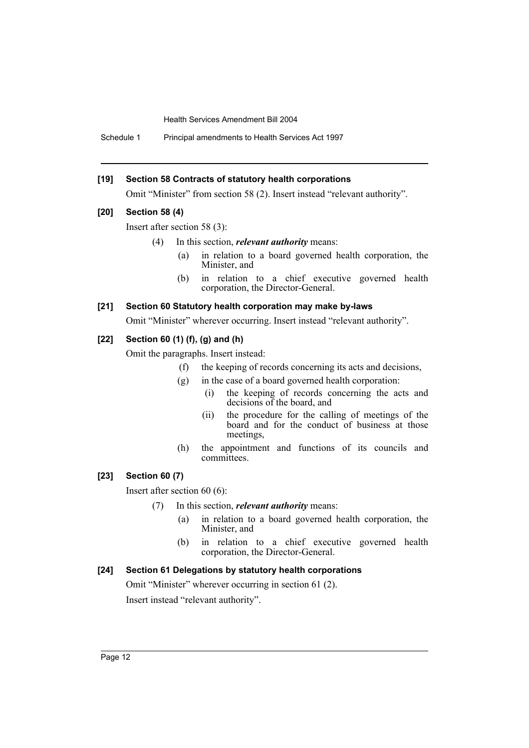Schedule 1 Principal amendments to Health Services Act 1997

#### **[19] Section 58 Contracts of statutory health corporations**

Omit "Minister" from section 58 (2). Insert instead "relevant authority".

#### **[20] Section 58 (4)**

Insert after section 58 (3):

- (4) In this section, *relevant authority* means:
	- (a) in relation to a board governed health corporation, the Minister, and
	- (b) in relation to a chief executive governed health corporation, the Director-General.

#### **[21] Section 60 Statutory health corporation may make by-laws**

Omit "Minister" wherever occurring. Insert instead "relevant authority".

#### **[22] Section 60 (1) (f), (g) and (h)**

Omit the paragraphs. Insert instead:

- (f) the keeping of records concerning its acts and decisions,
- (g) in the case of a board governed health corporation:
	- (i) the keeping of records concerning the acts and decisions of the board, and
	- (ii) the procedure for the calling of meetings of the board and for the conduct of business at those meetings,
- (h) the appointment and functions of its councils and committees.

## **[23] Section 60 (7)**

Insert after section 60 (6):

- (7) In this section, *relevant authority* means:
	- (a) in relation to a board governed health corporation, the Minister, and
	- (b) in relation to a chief executive governed health corporation, the Director-General.

## **[24] Section 61 Delegations by statutory health corporations**

Omit "Minister" wherever occurring in section 61 (2). Insert instead "relevant authority".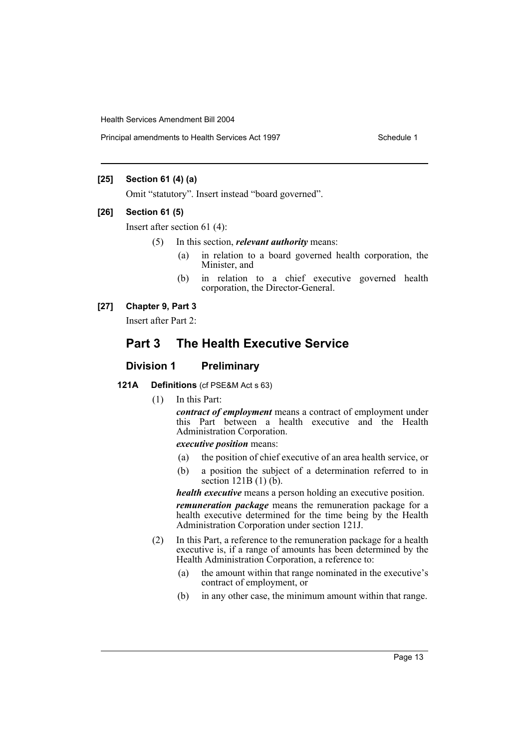Principal amendments to Health Services Act 1997 **Schedule 1** Schedule 1

## **[25] Section 61 (4) (a)**

Omit "statutory". Insert instead "board governed".

#### **[26] Section 61 (5)**

Insert after section 61 (4):

- (5) In this section, *relevant authority* means:
	- (a) in relation to a board governed health corporation, the Minister, and
	- (b) in relation to a chief executive governed health corporation, the Director-General.

## **[27] Chapter 9, Part 3**

Insert after Part 2:

# **Part 3 The Health Executive Service**

## **Division 1 Preliminary**

## **121A Definitions** (cf PSE&M Act s 63)

(1) In this Part:

*contract of employment* means a contract of employment under this Part between a health executive and the Health Administration Corporation.

### *executive position* means:

- (a) the position of chief executive of an area health service, or
- (b) a position the subject of a determination referred to in section 121B (1) (b).

*health executive* means a person holding an executive position.

*remuneration package* means the remuneration package for a health executive determined for the time being by the Health Administration Corporation under section 121J.

- (2) In this Part, a reference to the remuneration package for a health executive is, if a range of amounts has been determined by the Health Administration Corporation, a reference to:
	- (a) the amount within that range nominated in the executive's contract of employment, or
	- (b) in any other case, the minimum amount within that range.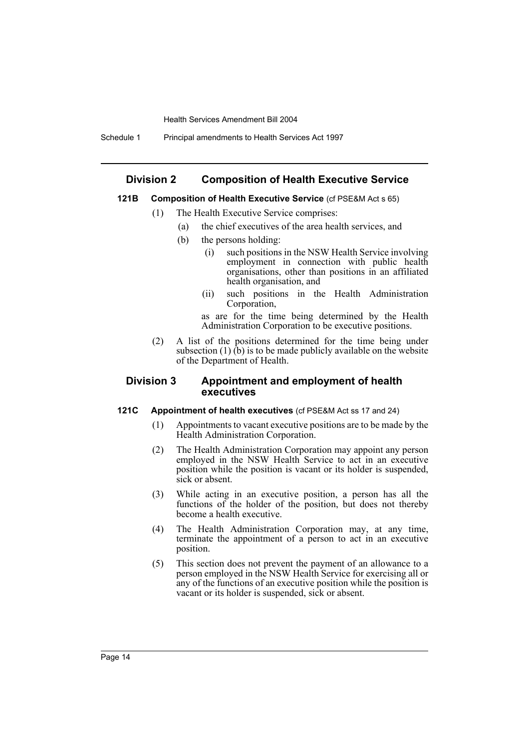Schedule 1 Principal amendments to Health Services Act 1997

## **Division 2 Composition of Health Executive Service**

## **121B Composition of Health Executive Service** (cf PSE&M Act s 65)

- (1) The Health Executive Service comprises:
	- (a) the chief executives of the area health services, and
	- (b) the persons holding:
		- (i) such positions in the NSW Health Service involving employment in connection with public health organisations, other than positions in an affiliated health organisation, and
		- (ii) such positions in the Health Administration Corporation,

as are for the time being determined by the Health Administration Corporation to be executive positions.

(2) A list of the positions determined for the time being under subsection  $(1)$  (b) is to be made publicly available on the website of the Department of Health.

## **Division 3 Appointment and employment of health executives**

## **121C Appointment of health executives** (cf PSE&M Act ss 17 and 24)

- (1) Appointments to vacant executive positions are to be made by the Health Administration Corporation.
- (2) The Health Administration Corporation may appoint any person employed in the NSW Health Service to act in an executive position while the position is vacant or its holder is suspended, sick or absent.
- (3) While acting in an executive position, a person has all the functions of the holder of the position, but does not thereby become a health executive.
- (4) The Health Administration Corporation may, at any time, terminate the appointment of a person to act in an executive position.
- (5) This section does not prevent the payment of an allowance to a person employed in the NSW Health Service for exercising all or any of the functions of an executive position while the position is vacant or its holder is suspended, sick or absent.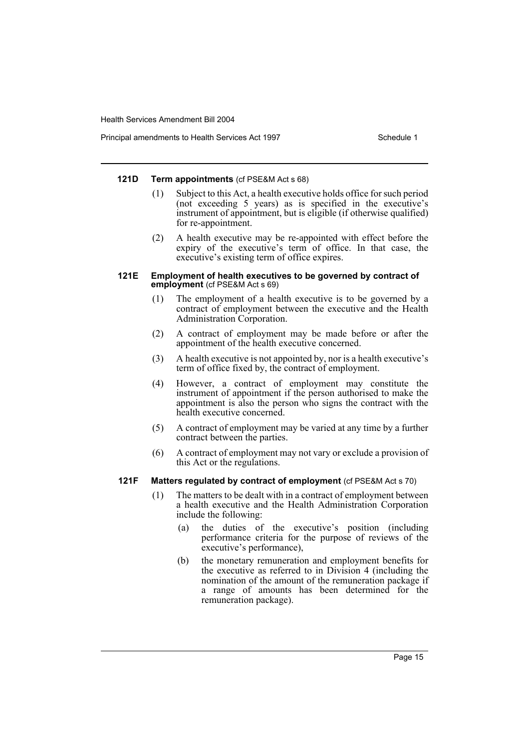Principal amendments to Health Services Act 1997 **Schedule 1** Schedule 1

#### **121D Term appointments** (cf PSE&M Act s 68)

- (1) Subject to this Act, a health executive holds office for such period (not exceeding 5 years) as is specified in the executive's instrument of appointment, but is eligible (if otherwise qualified) for re-appointment.
- (2) A health executive may be re-appointed with effect before the expiry of the executive's term of office. In that case, the executive's existing term of office expires.

#### **121E Employment of health executives to be governed by contract of employment** (cf PSE&M Act s 69)

- (1) The employment of a health executive is to be governed by a contract of employment between the executive and the Health Administration Corporation.
- (2) A contract of employment may be made before or after the appointment of the health executive concerned.
- (3) A health executive is not appointed by, nor is a health executive's term of office fixed by, the contract of employment.
- (4) However, a contract of employment may constitute the instrument of appointment if the person authorised to make the appointment is also the person who signs the contract with the health executive concerned.
- (5) A contract of employment may be varied at any time by a further contract between the parties.
- (6) A contract of employment may not vary or exclude a provision of this Act or the regulations.

## **121F Matters regulated by contract of employment** (cf PSE&M Act s 70)

- (1) The matters to be dealt with in a contract of employment between a health executive and the Health Administration Corporation include the following:
	- (a) the duties of the executive's position (including performance criteria for the purpose of reviews of the executive's performance),
	- (b) the monetary remuneration and employment benefits for the executive as referred to in Division 4 (including the nomination of the amount of the remuneration package if a range of amounts has been determined for the remuneration package).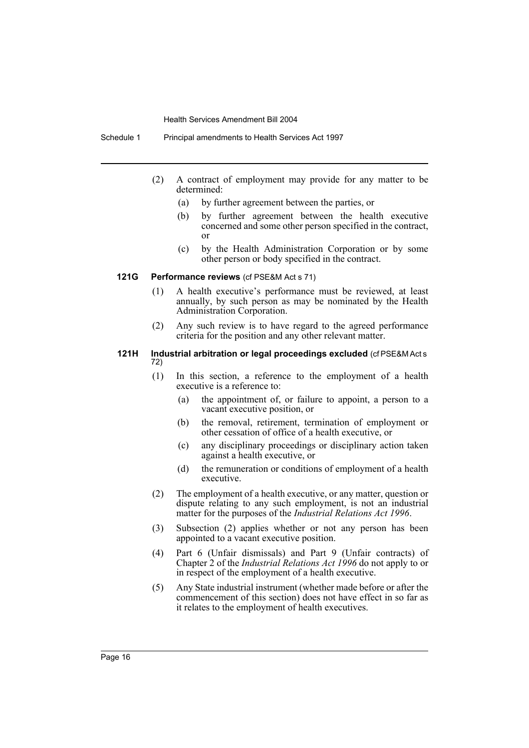Schedule 1 Principal amendments to Health Services Act 1997

- (2) A contract of employment may provide for any matter to be determined:
	- (a) by further agreement between the parties, or
	- (b) by further agreement between the health executive concerned and some other person specified in the contract, or
	- (c) by the Health Administration Corporation or by some other person or body specified in the contract.

#### **121G Performance reviews** (cf PSE&M Act s 71)

- (1) A health executive's performance must be reviewed, at least annually, by such person as may be nominated by the Health Administration Corporation.
- (2) Any such review is to have regard to the agreed performance criteria for the position and any other relevant matter.

#### **121H Industrial arbitration or legal proceedings excluded** (cf PSE&M Act s 72)

- (1) In this section, a reference to the employment of a health executive is a reference to:
	- (a) the appointment of, or failure to appoint, a person to a vacant executive position, or
	- (b) the removal, retirement, termination of employment or other cessation of office of a health executive, or
	- (c) any disciplinary proceedings or disciplinary action taken against a health executive, or
	- (d) the remuneration or conditions of employment of a health executive.
- (2) The employment of a health executive, or any matter, question or dispute relating to any such employment, is not an industrial matter for the purposes of the *Industrial Relations Act 1996*.
- (3) Subsection (2) applies whether or not any person has been appointed to a vacant executive position.
- (4) Part 6 (Unfair dismissals) and Part 9 (Unfair contracts) of Chapter 2 of the *Industrial Relations Act 1996* do not apply to or in respect of the employment of a health executive.
- (5) Any State industrial instrument (whether made before or after the commencement of this section) does not have effect in so far as it relates to the employment of health executives.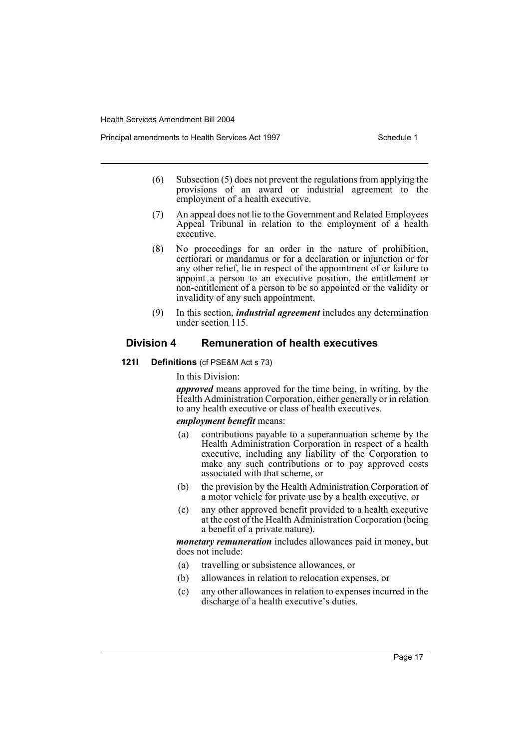Principal amendments to Health Services Act 1997 **Schedule 1** Schedule 1

- (6) Subsection (5) does not prevent the regulations from applying the provisions of an award or industrial agreement to the employment of a health executive.
- (7) An appeal does not lie to the Government and Related Employees Appeal Tribunal in relation to the employment of a health executive.
- (8) No proceedings for an order in the nature of prohibition, certiorari or mandamus or for a declaration or injunction or for any other relief, lie in respect of the appointment of or failure to appoint a person to an executive position, the entitlement or non-entitlement of a person to be so appointed or the validity or invalidity of any such appointment.
- (9) In this section, *industrial agreement* includes any determination under section 115.

## **Division 4 Remuneration of health executives**

**121I Definitions** (cf PSE&M Act s 73)

In this Division:

*approved* means approved for the time being, in writing, by the Health Administration Corporation, either generally or in relation to any health executive or class of health executives.

#### *employment benefit* means:

- (a) contributions payable to a superannuation scheme by the Health Administration Corporation in respect of a health executive, including any liability of the Corporation to make any such contributions or to pay approved costs associated with that scheme, or
- (b) the provision by the Health Administration Corporation of a motor vehicle for private use by a health executive, or
- (c) any other approved benefit provided to a health executive at the cost of the Health Administration Corporation (being a benefit of a private nature).

*monetary remuneration* includes allowances paid in money, but does not include:

- (a) travelling or subsistence allowances, or
- (b) allowances in relation to relocation expenses, or
- (c) any other allowances in relation to expenses incurred in the discharge of a health executive's duties.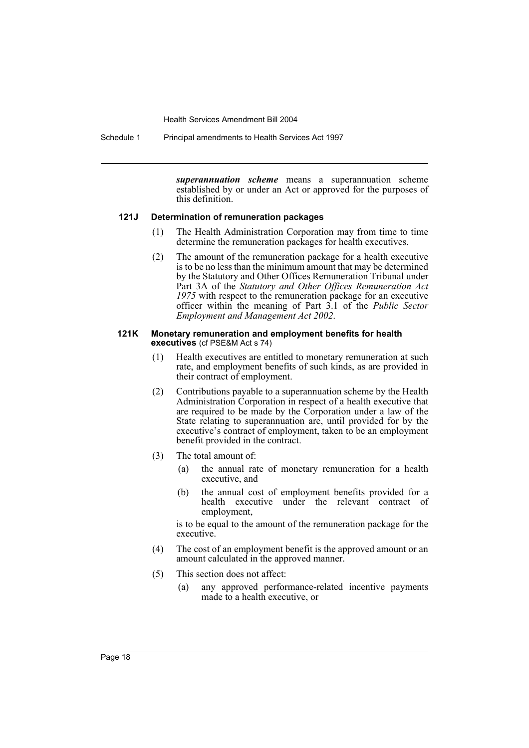Schedule 1 Principal amendments to Health Services Act 1997

*superannuation scheme* means a superannuation scheme established by or under an Act or approved for the purposes of this definition.

#### **121J Determination of remuneration packages**

- (1) The Health Administration Corporation may from time to time determine the remuneration packages for health executives.
- (2) The amount of the remuneration package for a health executive is to be no less than the minimum amount that may be determined by the Statutory and Other Offices Remuneration Tribunal under Part 3A of the *Statutory and Other Offices Remuneration Act 1975* with respect to the remuneration package for an executive officer within the meaning of Part 3.1 of the *Public Sector Employment and Management Act 2002*.

#### **121K Monetary remuneration and employment benefits for health executives** (cf PSE&M Act s 74)

- (1) Health executives are entitled to monetary remuneration at such rate, and employment benefits of such kinds, as are provided in their contract of employment.
- (2) Contributions payable to a superannuation scheme by the Health Administration Corporation in respect of a health executive that are required to be made by the Corporation under a law of the State relating to superannuation are, until provided for by the executive's contract of employment, taken to be an employment benefit provided in the contract.
- (3) The total amount of:
	- (a) the annual rate of monetary remuneration for a health executive, and
	- (b) the annual cost of employment benefits provided for a health executive under the relevant contract of employment,

is to be equal to the amount of the remuneration package for the executive.

- (4) The cost of an employment benefit is the approved amount or an amount calculated in the approved manner.
- (5) This section does not affect:
	- (a) any approved performance-related incentive payments made to a health executive, or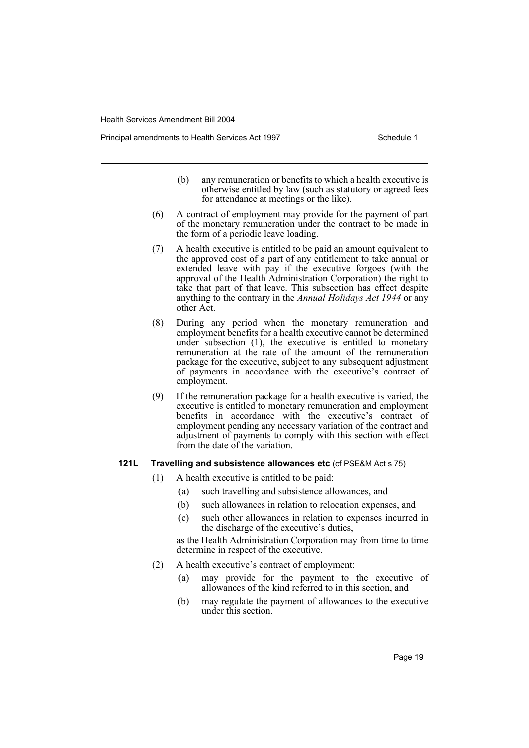Principal amendments to Health Services Act 1997 **Schedule 1** Schedule 1

- (b) any remuneration or benefits to which a health executive is otherwise entitled by law (such as statutory or agreed fees for attendance at meetings or the like).
- (6) A contract of employment may provide for the payment of part of the monetary remuneration under the contract to be made in the form of a periodic leave loading.
- (7) A health executive is entitled to be paid an amount equivalent to the approved cost of a part of any entitlement to take annual or extended leave with pay if the executive forgoes (with the approval of the Health Administration Corporation) the right to take that part of that leave. This subsection has effect despite anything to the contrary in the *Annual Holidays Act 1944* or any other Act.
- (8) During any period when the monetary remuneration and employment benefits for a health executive cannot be determined under subsection (1), the executive is entitled to monetary remuneration at the rate of the amount of the remuneration package for the executive, subject to any subsequent adjustment of payments in accordance with the executive's contract of employment.
- (9) If the remuneration package for a health executive is varied, the executive is entitled to monetary remuneration and employment benefits in accordance with the executive's contract of employment pending any necessary variation of the contract and adjustment of payments to comply with this section with effect from the date of the variation.

#### **121L Travelling and subsistence allowances etc** (cf PSE&M Act s 75)

- (1) A health executive is entitled to be paid:
	- (a) such travelling and subsistence allowances, and
	- (b) such allowances in relation to relocation expenses, and
	- (c) such other allowances in relation to expenses incurred in the discharge of the executive's duties,

as the Health Administration Corporation may from time to time determine in respect of the executive.

- (2) A health executive's contract of employment:
	- (a) may provide for the payment to the executive of allowances of the kind referred to in this section, and
	- (b) may regulate the payment of allowances to the executive under this section.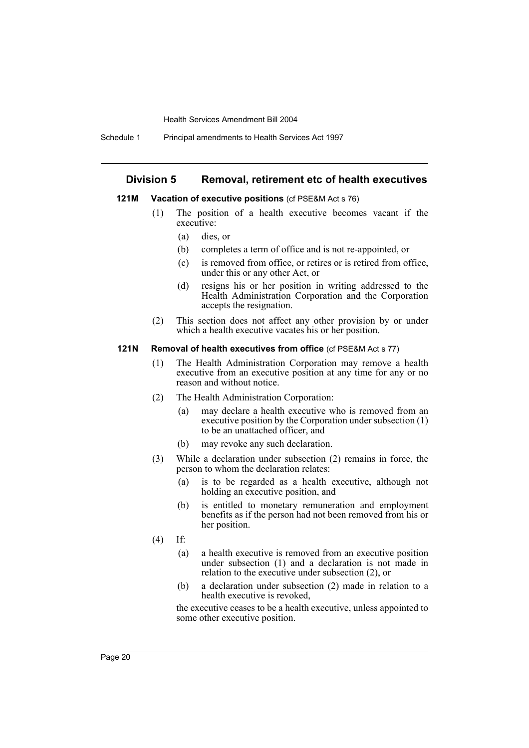Schedule 1 Principal amendments to Health Services Act 1997

#### **Division 5 Removal, retirement etc of health executives**

#### **121M Vacation of executive positions** (cf PSE&M Act s 76)

- (1) The position of a health executive becomes vacant if the executive:
	- (a) dies, or
	- (b) completes a term of office and is not re-appointed, or
	- (c) is removed from office, or retires or is retired from office, under this or any other Act, or
	- (d) resigns his or her position in writing addressed to the Health Administration Corporation and the Corporation accepts the resignation.
- (2) This section does not affect any other provision by or under which a health executive vacates his or her position.

#### **121N Removal of health executives from office** (cf PSE&M Act s 77)

- (1) The Health Administration Corporation may remove a health executive from an executive position at any time for any or no reason and without notice.
- (2) The Health Administration Corporation:
	- (a) may declare a health executive who is removed from an executive position by the Corporation under subsection (1) to be an unattached officer, and
	- (b) may revoke any such declaration.
- (3) While a declaration under subsection (2) remains in force, the person to whom the declaration relates:
	- (a) is to be regarded as a health executive, although not holding an executive position, and
	- (b) is entitled to monetary remuneration and employment benefits as if the person had not been removed from his or her position.
- (4) If:
	- (a) a health executive is removed from an executive position under subsection (1) and a declaration is not made in relation to the executive under subsection (2), or
	- (b) a declaration under subsection (2) made in relation to a health executive is revoked,

the executive ceases to be a health executive, unless appointed to some other executive position.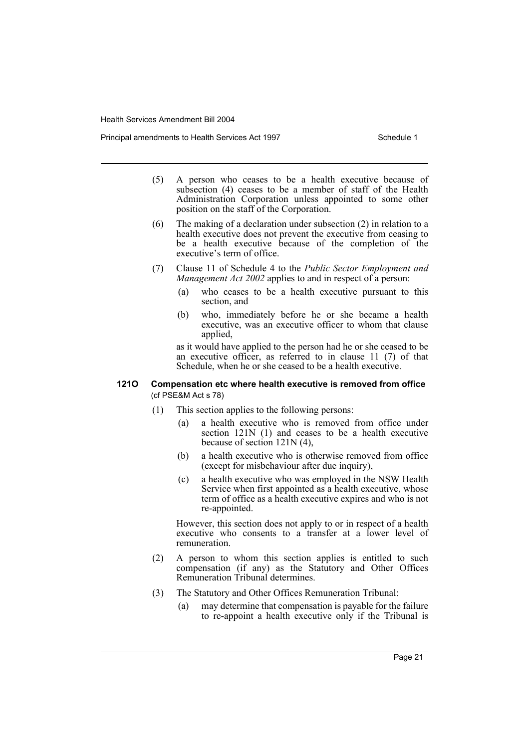Principal amendments to Health Services Act 1997 **Schedule 1** Schedule 1

- (5) A person who ceases to be a health executive because of subsection (4) ceases to be a member of staff of the Health Administration Corporation unless appointed to some other position on the staff of the Corporation.
- (6) The making of a declaration under subsection (2) in relation to a health executive does not prevent the executive from ceasing to be a health executive because of the completion of the executive's term of office.
- (7) Clause 11 of Schedule 4 to the *Public Sector Employment and Management Act 2002* applies to and in respect of a person:
	- (a) who ceases to be a health executive pursuant to this section, and
	- (b) who, immediately before he or she became a health executive, was an executive officer to whom that clause applied,

as it would have applied to the person had he or she ceased to be an executive officer, as referred to in clause 11 (7) of that Schedule, when he or she ceased to be a health executive.

### **121O Compensation etc where health executive is removed from office**  (cf PSE&M Act s 78)

- (1) This section applies to the following persons:
	- (a) a health executive who is removed from office under section 121N (1) and ceases to be a health executive because of section 121N (4),
	- (b) a health executive who is otherwise removed from office (except for misbehaviour after due inquiry),
	- (c) a health executive who was employed in the NSW Health Service when first appointed as a health executive, whose term of office as a health executive expires and who is not re-appointed.

However, this section does not apply to or in respect of a health executive who consents to a transfer at a lower level of remuneration.

- (2) A person to whom this section applies is entitled to such compensation (if any) as the Statutory and Other Offices Remuneration Tribunal determines.
- (3) The Statutory and Other Offices Remuneration Tribunal:
	- (a) may determine that compensation is payable for the failure to re-appoint a health executive only if the Tribunal is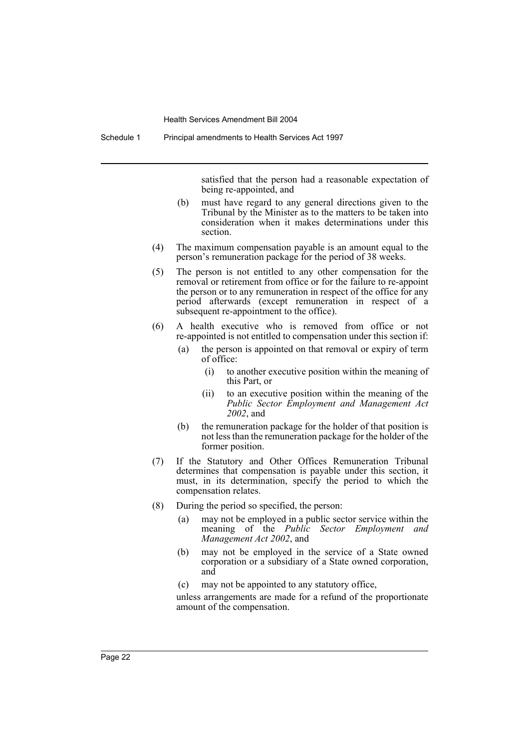satisfied that the person had a reasonable expectation of being re-appointed, and

- (b) must have regard to any general directions given to the Tribunal by the Minister as to the matters to be taken into consideration when it makes determinations under this section.
- (4) The maximum compensation payable is an amount equal to the person's remuneration package for the period of 38 weeks.
- (5) The person is not entitled to any other compensation for the removal or retirement from office or for the failure to re-appoint the person or to any remuneration in respect of the office for any period afterwards (except remuneration in respect of a subsequent re-appointment to the office).
- (6) A health executive who is removed from office or not re-appointed is not entitled to compensation under this section if:
	- (a) the person is appointed on that removal or expiry of term of office:
		- (i) to another executive position within the meaning of this Part, or
		- (ii) to an executive position within the meaning of the *Public Sector Employment and Management Act 2002*, and
	- (b) the remuneration package for the holder of that position is not less than the remuneration package for the holder of the former position.
- (7) If the Statutory and Other Offices Remuneration Tribunal determines that compensation is payable under this section, it must, in its determination, specify the period to which the compensation relates.
- (8) During the period so specified, the person:
	- (a) may not be employed in a public sector service within the meaning of the *Public Sector Employment and Management Act 2002*, and
	- (b) may not be employed in the service of a State owned corporation or a subsidiary of a State owned corporation, and
	- (c) may not be appointed to any statutory office,

unless arrangements are made for a refund of the proportionate amount of the compensation.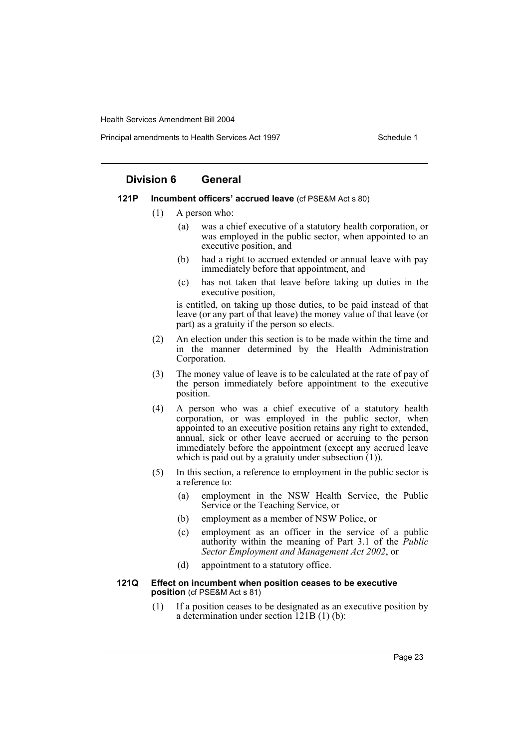Principal amendments to Health Services Act 1997 **Schedule 1** Schedule 1

## **Division 6 General**

#### **121P Incumbent officers' accrued leave** (cf PSE&M Act s 80)

- (1) A person who:
	- (a) was a chief executive of a statutory health corporation, or was employed in the public sector, when appointed to an executive position, and
	- (b) had a right to accrued extended or annual leave with pay immediately before that appointment, and
	- (c) has not taken that leave before taking up duties in the executive position,

is entitled, on taking up those duties, to be paid instead of that leave (or any part of that leave) the money value of that leave (or part) as a gratuity if the person so elects.

- (2) An election under this section is to be made within the time and in the manner determined by the Health Administration Corporation.
- (3) The money value of leave is to be calculated at the rate of pay of the person immediately before appointment to the executive position.
- (4) A person who was a chief executive of a statutory health corporation, or was employed in the public sector, when appointed to an executive position retains any right to extended, annual, sick or other leave accrued or accruing to the person immediately before the appointment (except any accrued leave which is paid out by a gratuity under subsection (1)).
- (5) In this section, a reference to employment in the public sector is a reference to:
	- (a) employment in the NSW Health Service, the Public Service or the Teaching Service, or
	- (b) employment as a member of NSW Police, or
	- (c) employment as an officer in the service of a public authority within the meaning of Part 3.1 of the *Public Sector Employment and Management Act 2002*, or
	- (d) appointment to a statutory office.

#### **121Q Effect on incumbent when position ceases to be executive position** (cf PSE&M Act s 81)

(1) If a position ceases to be designated as an executive position by a determination under section 121B (1) (b):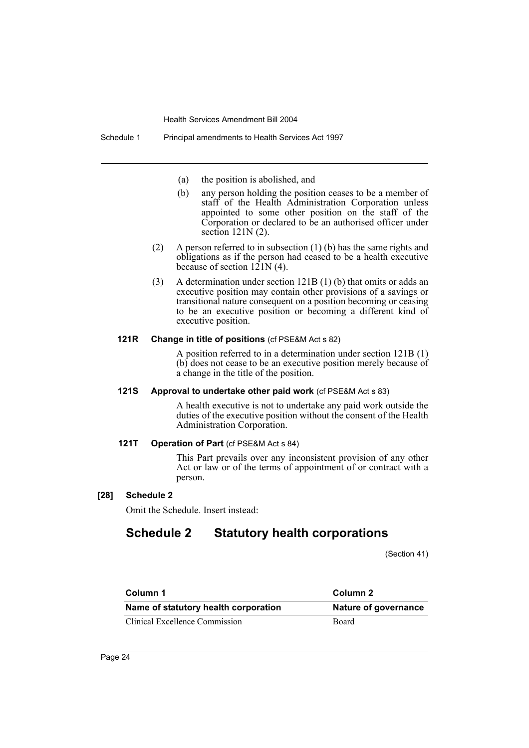- (a) the position is abolished, and
- (b) any person holding the position ceases to be a member of staff of the Health Administration Corporation unless appointed to some other position on the staff of the Corporation or declared to be an authorised officer under section 121N (2).
- (2) A person referred to in subsection (1) (b) has the same rights and obligations as if the person had ceased to be a health executive because of section  $121N(4)$ .
- (3) A determination under section 121B (1) (b) that omits or adds an executive position may contain other provisions of a savings or transitional nature consequent on a position becoming or ceasing to be an executive position or becoming a different kind of executive position.

#### **121R Change in title of positions** (cf PSE&M Act s 82)

A position referred to in a determination under section 121B (1) (b) does not cease to be an executive position merely because of a change in the title of the position.

#### **121S Approval to undertake other paid work** (cf PSE&M Act s 83)

A health executive is not to undertake any paid work outside the duties of the executive position without the consent of the Health Administration Corporation.

#### **121T Operation of Part** (cf PSE&M Act s 84)

This Part prevails over any inconsistent provision of any other Act or law or of the terms of appointment of or contract with a person.

#### **[28] Schedule 2**

Omit the Schedule. Insert instead:

# **Schedule 2 Statutory health corporations**

(Section 41)

| Column 1                             | Column 2             |
|--------------------------------------|----------------------|
| Name of statutory health corporation | Nature of governance |
| Clinical Excellence Commission       | <b>Board</b>         |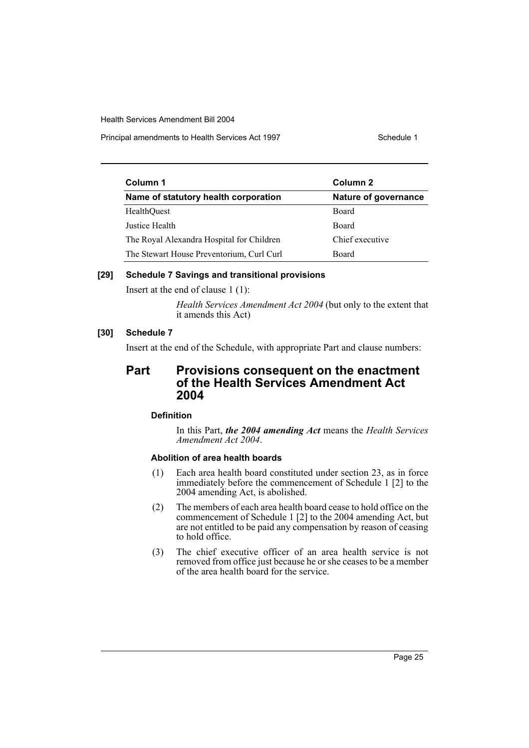Principal amendments to Health Services Act 1997 **Schedule 1** Schedule 1

| Column 1                                  | Column 2<br>Nature of governance |  |
|-------------------------------------------|----------------------------------|--|
| Name of statutory health corporation      |                                  |  |
| HealthOuest                               | <b>Board</b>                     |  |
| Justice Health                            | <b>Board</b>                     |  |
| The Royal Alexandra Hospital for Children | Chief executive                  |  |
| The Stewart House Preventorium, Curl Curl | Board                            |  |

#### **[29] Schedule 7 Savings and transitional provisions**

Insert at the end of clause 1 (1):

*Health Services Amendment Act 2004* (but only to the extent that it amends this Act)

## **[30] Schedule 7**

Insert at the end of the Schedule, with appropriate Part and clause numbers:

# **Part Provisions consequent on the enactment of the Health Services Amendment Act 2004**

## **Definition**

In this Part, *the 2004 amending Act* means the *Health Services Amendment Act 2004*.

## **Abolition of area health boards**

- (1) Each area health board constituted under section 23, as in force immediately before the commencement of Schedule 1 [2] to the 2004 amending Act, is abolished.
- (2) The members of each area health board cease to hold office on the commencement of Schedule 1 [2] to the 2004 amending Act, but are not entitled to be paid any compensation by reason of ceasing to hold office.
- (3) The chief executive officer of an area health service is not removed from office just because he or she ceases to be a member of the area health board for the service.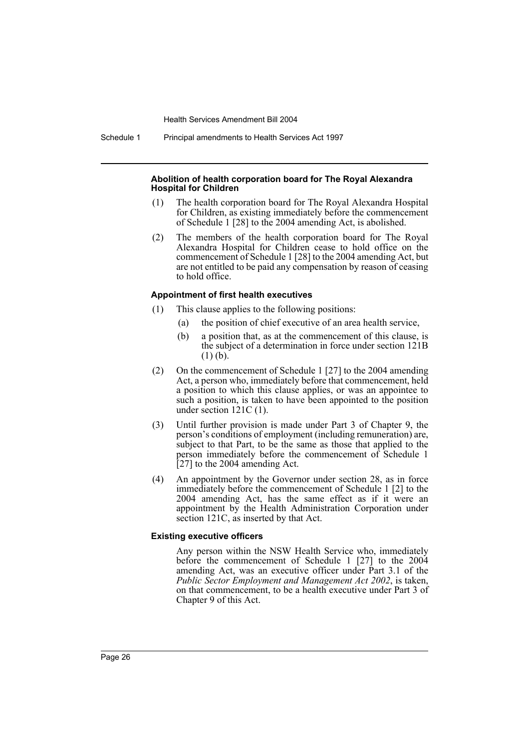Schedule 1 Principal amendments to Health Services Act 1997

#### **Abolition of health corporation board for The Royal Alexandra Hospital for Children**

- (1) The health corporation board for The Royal Alexandra Hospital for Children, as existing immediately before the commencement of Schedule 1 [28] to the 2004 amending Act, is abolished.
- (2) The members of the health corporation board for The Royal Alexandra Hospital for Children cease to hold office on the commencement of Schedule 1 [28] to the 2004 amending Act, but are not entitled to be paid any compensation by reason of ceasing to hold office.

#### **Appointment of first health executives**

- (1) This clause applies to the following positions:
	- (a) the position of chief executive of an area health service,
	- (b) a position that, as at the commencement of this clause, is the subject of a determination in force under section 121B (1) (b).
- (2) On the commencement of Schedule 1 [27] to the 2004 amending Act, a person who, immediately before that commencement, held a position to which this clause applies, or was an appointee to such a position, is taken to have been appointed to the position under section 121C (1).
- (3) Until further provision is made under Part 3 of Chapter 9, the person's conditions of employment (including remuneration) are, subject to that Part, to be the same as those that applied to the person immediately before the commencement of Schedule 1 [27] to the 2004 amending Act.
- (4) An appointment by the Governor under section 28, as in force immediately before the commencement of Schedule 1 [2] to the 2004 amending Act, has the same effect as if it were an appointment by the Health Administration Corporation under section 121C, as inserted by that Act.

#### **Existing executive officers**

Any person within the NSW Health Service who, immediately before the commencement of Schedule 1 [27] to the 2004 amending Act, was an executive officer under Part 3.1 of the *Public Sector Employment and Management Act 2002*, is taken, on that commencement, to be a health executive under Part 3 of Chapter 9 of this Act.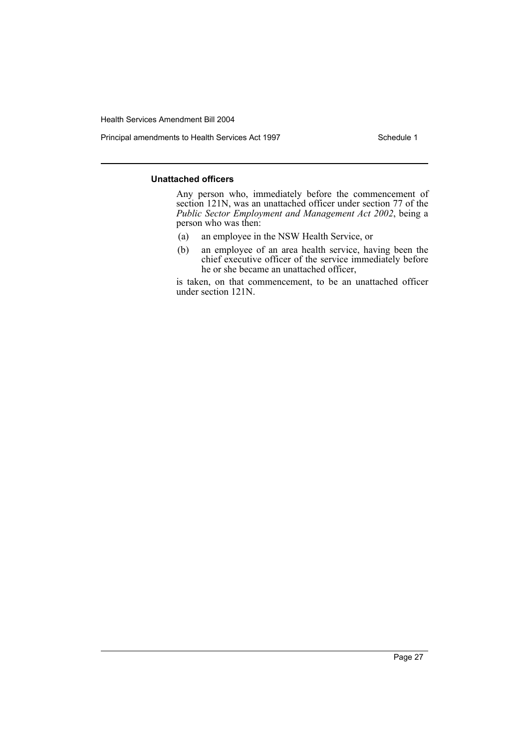Principal amendments to Health Services Act 1997 Schedule 1

#### **Unattached officers**

Any person who, immediately before the commencement of section 121N, was an unattached officer under section 77 of the *Public Sector Employment and Management Act 2002*, being a person who was then:

- (a) an employee in the NSW Health Service, or
- (b) an employee of an area health service, having been the chief executive officer of the service immediately before he or she became an unattached officer,

is taken, on that commencement, to be an unattached officer under section 121N.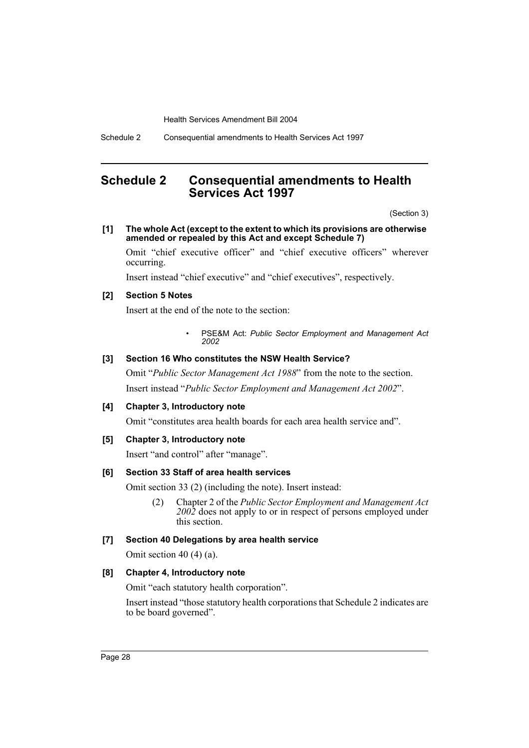Schedule 2 Consequential amendments to Health Services Act 1997

# <span id="page-28-0"></span>**Schedule 2 Consequential amendments to Health Services Act 1997**

(Section 3)

#### **[1] The whole Act (except to the extent to which its provisions are otherwise amended or repealed by this Act and except Schedule 7)**

Omit "chief executive officer" and "chief executive officers" wherever occurring.

Insert instead "chief executive" and "chief executives", respectively.

## **[2] Section 5 Notes**

Insert at the end of the note to the section:

• PSE&M Act: *Public Sector Employment and Management Act 2002*

#### **[3] Section 16 Who constitutes the NSW Health Service?**

Omit "*Public Sector Management Act 1988*" from the note to the section. Insert instead "*Public Sector Employment and Management Act 2002*".

### **[4] Chapter 3, Introductory note**

Omit "constitutes area health boards for each area health service and".

#### **[5] Chapter 3, Introductory note**

Insert "and control" after "manage".

## **[6] Section 33 Staff of area health services**

Omit section 33 (2) (including the note). Insert instead:

(2) Chapter 2 of the *Public Sector Employment and Management Act 2002* does not apply to or in respect of persons employed under this section.

## **[7] Section 40 Delegations by area health service**

Omit section 40 (4) (a).

### **[8] Chapter 4, Introductory note**

Omit "each statutory health corporation".

Insert instead "those statutory health corporations that Schedule 2 indicates are to be board governed".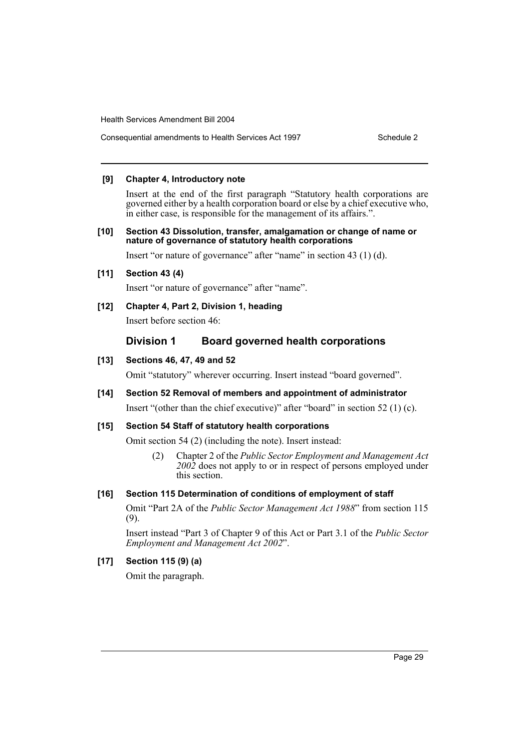Consequential amendments to Health Services Act 1997 Schedule 2

### **[9] Chapter 4, Introductory note**

Insert at the end of the first paragraph "Statutory health corporations are governed either by a health corporation board or else by a chief executive who, in either case, is responsible for the management of its affairs.".

#### **[10] Section 43 Dissolution, transfer, amalgamation or change of name or nature of governance of statutory health corporations**

Insert "or nature of governance" after "name" in section 43 (1) (d).

**[11] Section 43 (4)**

Insert "or nature of governance" after "name".

## **[12] Chapter 4, Part 2, Division 1, heading**

Insert before section 46:

## **Division 1 Board governed health corporations**

#### **[13] Sections 46, 47, 49 and 52**

Omit "statutory" wherever occurring. Insert instead "board governed".

## **[14] Section 52 Removal of members and appointment of administrator** Insert "(other than the chief executive)" after "board" in section 52 (1) (c).

## **[15] Section 54 Staff of statutory health corporations**

Omit section 54 (2) (including the note). Insert instead:

(2) Chapter 2 of the *Public Sector Employment and Management Act 2002* does not apply to or in respect of persons employed under this section.

#### **[16] Section 115 Determination of conditions of employment of staff**

Omit "Part 2A of the *Public Sector Management Act 1988*" from section 115 (9).

Insert instead "Part 3 of Chapter 9 of this Act or Part 3.1 of the *Public Sector Employment and Management Act 2002*".

## **[17] Section 115 (9) (a)**

Omit the paragraph.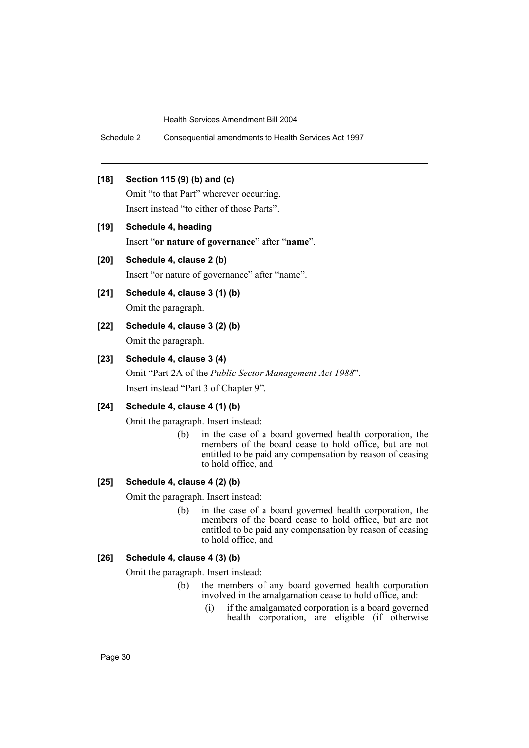Schedule 2 Consequential amendments to Health Services Act 1997

## **[18] Section 115 (9) (b) and (c)**

Omit "to that Part" wherever occurring. Insert instead "to either of those Parts".

**[19] Schedule 4, heading** Insert "**or nature of governance**" after "**name**".

## **[20] Schedule 4, clause 2 (b)**

Insert "or nature of governance" after "name".

## **[21] Schedule 4, clause 3 (1) (b)**

Omit the paragraph.

**[22] Schedule 4, clause 3 (2) (b)** Omit the paragraph.

#### **[23] Schedule 4, clause 3 (4)**

Omit "Part 2A of the *Public Sector Management Act 1988*". Insert instead "Part 3 of Chapter 9".

## **[24] Schedule 4, clause 4 (1) (b)**

Omit the paragraph. Insert instead:

(b) in the case of a board governed health corporation, the members of the board cease to hold office, but are not entitled to be paid any compensation by reason of ceasing to hold office, and

# **[25] Schedule 4, clause 4 (2) (b)**

Omit the paragraph. Insert instead:

(b) in the case of a board governed health corporation, the members of the board cease to hold office, but are not entitled to be paid any compensation by reason of ceasing to hold office, and

#### **[26] Schedule 4, clause 4 (3) (b)**

Omit the paragraph. Insert instead:

- (b) the members of any board governed health corporation involved in the amalgamation cease to hold office, and:
	- (i) if the amalgamated corporation is a board governed health corporation, are eligible (if otherwise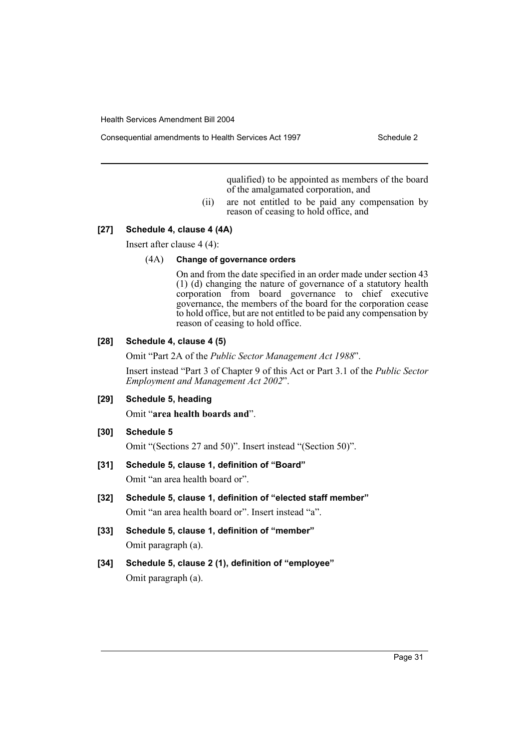Consequential amendments to Health Services Act 1997 Schedule 2

qualified) to be appointed as members of the board of the amalgamated corporation, and

(ii) are not entitled to be paid any compensation by reason of ceasing to hold office, and

#### **[27] Schedule 4, clause 4 (4A)**

Insert after clause 4 (4):

#### (4A) **Change of governance orders**

On and from the date specified in an order made under section 43 (1) (d) changing the nature of governance of a statutory health corporation from board governance to chief executive governance, the members of the board for the corporation cease to hold office, but are not entitled to be paid any compensation by reason of ceasing to hold office.

#### **[28] Schedule 4, clause 4 (5)**

Omit "Part 2A of the *Public Sector Management Act 1988*".

Insert instead "Part 3 of Chapter 9 of this Act or Part 3.1 of the *Public Sector Employment and Management Act 2002*".

#### **[29] Schedule 5, heading**

Omit "**area health boards and**".

#### **[30] Schedule 5**

Omit "(Sections 27 and 50)". Insert instead "(Section 50)".

#### **[31] Schedule 5, clause 1, definition of "Board"**

Omit "an area health board or".

- **[32] Schedule 5, clause 1, definition of "elected staff member"** Omit "an area health board or". Insert instead "a".
- **[33] Schedule 5, clause 1, definition of "member"** Omit paragraph (a).
- **[34] Schedule 5, clause 2 (1), definition of "employee"** Omit paragraph (a).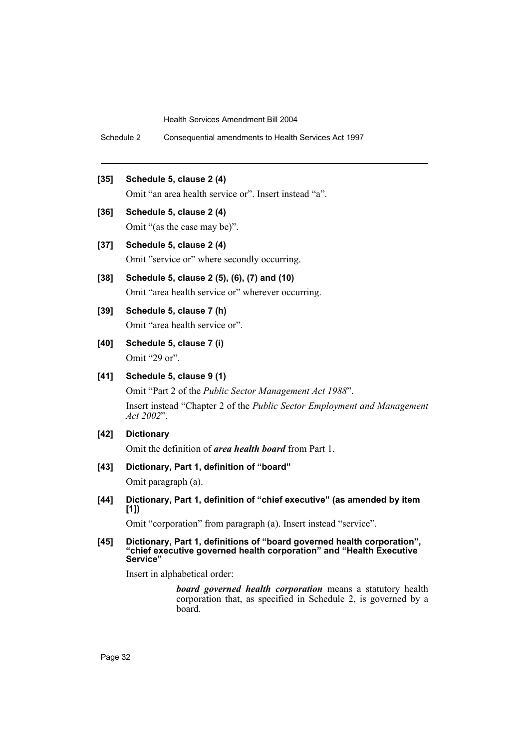Schedule 2 Consequential amendments to Health Services Act 1997

## **[35] Schedule 5, clause 2 (4)**

Omit "an area health service or". Insert instead "a".

**[36] Schedule 5, clause 2 (4)**

Omit "(as the case may be)".

**[37] Schedule 5, clause 2 (4)**

Omit "service or" where secondly occurring.

- **[38] Schedule 5, clause 2 (5), (6), (7) and (10)** Omit "area health service or" wherever occurring.
- **[39] Schedule 5, clause 7 (h)** Omit "area health service or".
- **[40] Schedule 5, clause 7 (i)** Omit "29 or".
- **[41] Schedule 5, clause 9 (1)**

Omit "Part 2 of the *Public Sector Management Act 1988*". Insert instead "Chapter 2 of the *Public Sector Employment and Management Act 2002*".

**[42] Dictionary**

Omit the definition of *area health board* from Part 1.

**[43] Dictionary, Part 1, definition of "board"**

Omit paragraph (a).

**[44] Dictionary, Part 1, definition of "chief executive" (as amended by item [1])**

Omit "corporation" from paragraph (a). Insert instead "service".

**[45] Dictionary, Part 1, definitions of "board governed health corporation", "chief executive governed health corporation" and "Health Executive Service"**

Insert in alphabetical order:

*board governed health corporation* means a statutory health corporation that, as specified in Schedule 2, is governed by a board.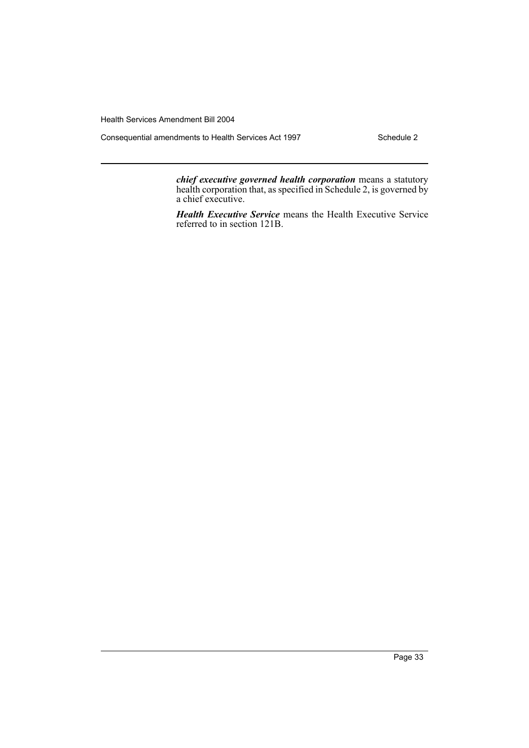Consequential amendments to Health Services Act 1997 Schedule 2

*chief executive governed health corporation* means a statutory health corporation that, as specified in Schedule 2, is governed by a chief executive.

*Health Executive Service* means the Health Executive Service referred to in section 121B.